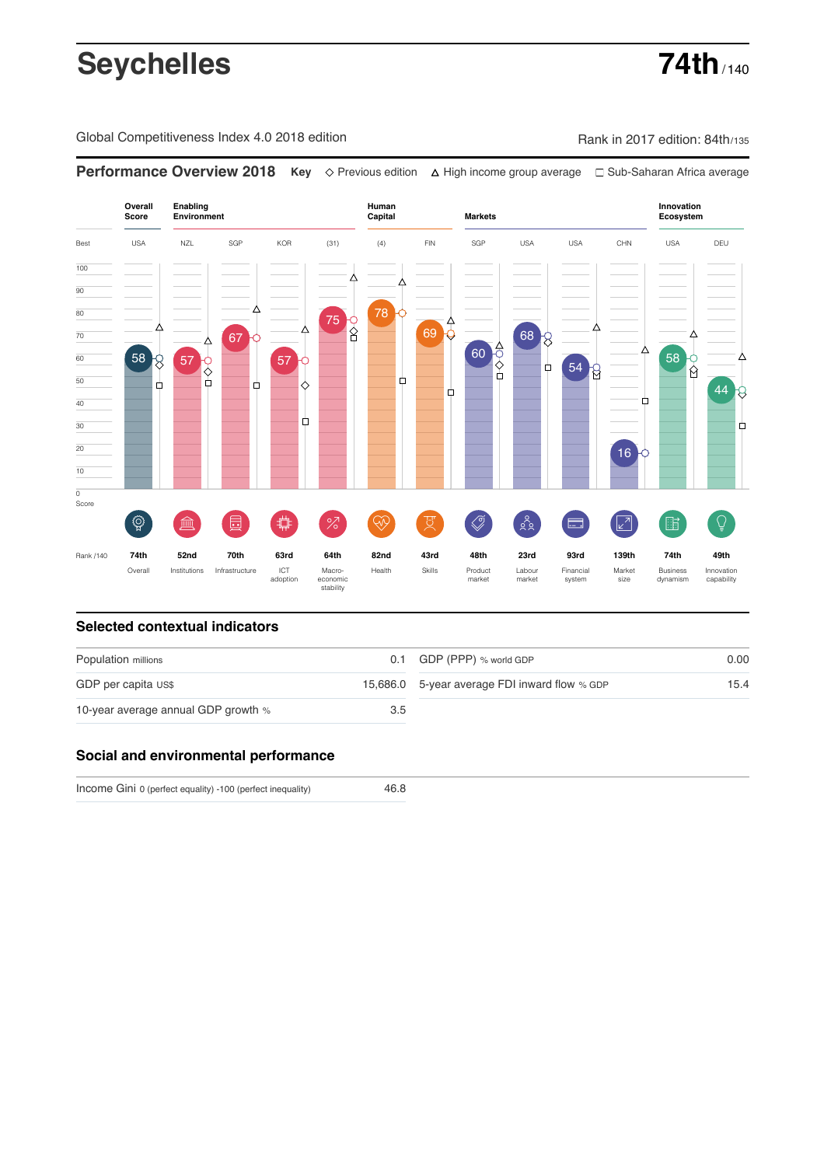# **Seychelles 74th**

Global Competitiveness Index 4.0 2018 edition Company Rank in 2017 edition: 84th/135

**Performance Overview 2018 Key** Previous edition High income group average Sub-Saharan Africa average



### **Selected contextual indicators**

| Population millions                 |     | 0.1 GDP (PPP) % world GDP                     | 0.00 |  |
|-------------------------------------|-----|-----------------------------------------------|------|--|
| GDP per capita US\$                 |     | 15,686.0 5-year average FDI inward flow % GDP | 15.4 |  |
| 10-year average annual GDP growth % | 3.5 |                                               |      |  |

### **Social and environmental performance**

Income Gini 0 (perfect equality) -100 (perfect inequality)

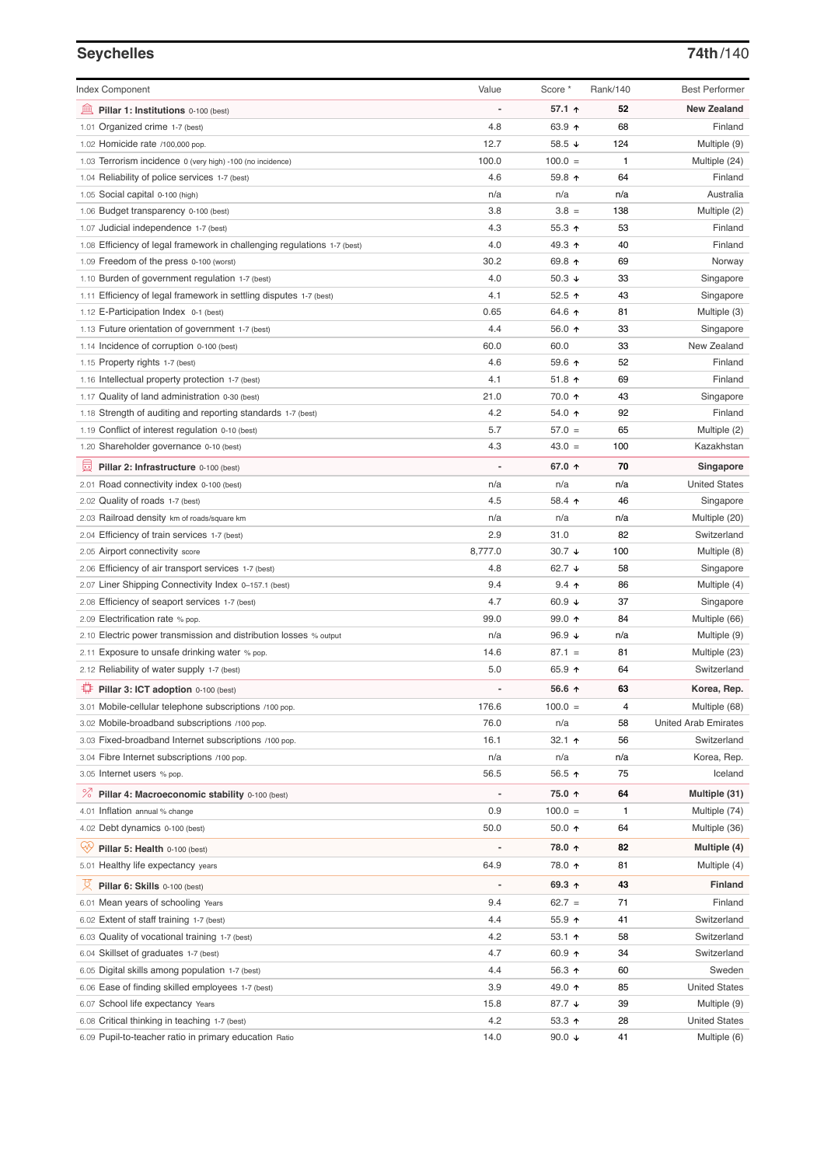# **Seychelles 74th**/140

| <b>Index Component</b>                                                   | Value                    | Score *                  | Rank/140 | <b>Best Performer</b>       |
|--------------------------------------------------------------------------|--------------------------|--------------------------|----------|-----------------------------|
| 寙<br>Pillar 1: Institutions 0-100 (best)                                 | Ĭ.                       | 57.1 ↑                   | 52       | <b>New Zealand</b>          |
| 1.01 Organized crime 1-7 (best)                                          | 4.8                      | 63.9 ↑                   | 68       | Finland                     |
| 1.02 Homicide rate /100,000 pop.                                         | 12.7                     | 58.5 ↓                   | 124      | Multiple (9)                |
| 1.03 Terrorism incidence 0 (very high) -100 (no incidence)               | 100.0                    | $100.0 =$                | 1        | Multiple (24)               |
| 1.04 Reliability of police services 1-7 (best)                           | 4.6                      | 59.8 个                   | 64       | Finland                     |
| 1.05 Social capital 0-100 (high)                                         | n/a                      | n/a                      | n/a      | Australia                   |
| 1.06 Budget transparency 0-100 (best)                                    | 3.8                      | $3.8 =$                  | 138      | Multiple (2)                |
| 1.07 Judicial independence 1-7 (best)                                    | 4.3                      | 55.3 ↑                   | 53       | Finland                     |
| 1.08 Efficiency of legal framework in challenging regulations 1-7 (best) | 4.0                      | 49.3 ↑                   | 40       | Finland                     |
| 1.09 Freedom of the press 0-100 (worst)                                  | 30.2                     | 69.8 ↑                   | 69       | Norway                      |
| 1.10 Burden of government regulation 1-7 (best)                          | 4.0                      | 50.3 $\sqrt{ }$          | 33       | Singapore                   |
| 1.11 Efficiency of legal framework in settling disputes 1-7 (best)       | 4.1                      | 52.5 $\uparrow$          | 43       | Singapore                   |
| 1.12 E-Participation Index 0-1 (best)                                    | 0.65                     | 64.6 ↑                   | 81       | Multiple (3)                |
| 1.13 Future orientation of government 1-7 (best)                         | 4.4                      | 56.0 ↑                   | 33       | Singapore                   |
| 1.14 Incidence of corruption 0-100 (best)                                | 60.0                     | 60.0                     | 33       | New Zealand                 |
| 1.15 Property rights 1-7 (best)                                          | 4.6                      | 59.6 个                   | 52       | Finland                     |
| 1.16 Intellectual property protection 1-7 (best)                         | 4.1                      | 51.8 $\uparrow$          | 69       | Finland                     |
| 1.17 Quality of land administration 0-30 (best)                          | 21.0                     | 70.0 ↑                   | 43       | Singapore                   |
| 1.18 Strength of auditing and reporting standards 1-7 (best)             | 4.2                      | 54.0 个                   | 92       | Finland                     |
| 1.19 Conflict of interest regulation 0-10 (best)                         | 5.7                      | $57.0 =$                 | 65       | Multiple (2)                |
| 1.20 Shareholder governance 0-10 (best)                                  | 4.3                      | $43.0 =$                 | 100      | Kazakhstan                  |
| 員<br>Pillar 2: Infrastructure 0-100 (best)                               | ÷,                       | 67.0 ↑                   | 70       | Singapore                   |
| 2.01 Road connectivity index 0-100 (best)                                | n/a                      | n/a                      | n/a      | <b>United States</b>        |
| 2.02 Quality of roads 1-7 (best)                                         | 4.5                      | 58.4 个                   | 46       | Singapore                   |
| 2.03 Railroad density km of roads/square km                              | n/a                      | n/a                      | n/a      | Multiple (20)               |
| 2.04 Efficiency of train services 1-7 (best)                             | 2.9                      | 31.0                     | 82       | Switzerland                 |
| 2.05 Airport connectivity score                                          | 8,777.0                  | $30.7 +$                 | 100      | Multiple (8)                |
| 2.06 Efficiency of air transport services 1-7 (best)                     | 4.8                      | 62.7 $\sqrt{ }$          | 58       | Singapore                   |
| 2.07 Liner Shipping Connectivity Index 0-157.1 (best)                    | 9.4                      | $9.4$ ↑                  | 86       | Multiple (4)                |
| 2.08 Efficiency of seaport services 1-7 (best)                           | 4.7                      | 60.9 $\sqrt{ }$          | 37       | Singapore                   |
| 2.09 Electrification rate % pop.                                         | 99.0                     | 99.0 个                   | 84       | Multiple (66)               |
| 2.10 Electric power transmission and distribution losses % output        | n/a                      | 96.9 $\sqrt{ }$          | n/a      | Multiple (9)                |
| 2.11 Exposure to unsafe drinking water % pop.                            | 14.6                     | $87.1 =$                 | 81       | Multiple (23)               |
| 2.12 Reliability of water supply 1-7 (best)                              | 5.0                      | 65.9 ↑                   | 64       | Switzerland                 |
| O<br>Pillar 3: ICT adoption 0-100 (best)                                 |                          | 56.6 ↑                   | 63       | Korea, Rep.                 |
| 3.01 Mobile-cellular telephone subscriptions /100 pop.                   | 176.6                    | $100.0 =$                | 4        | Multiple (68)               |
| 3.02 Mobile-broadband subscriptions /100 pop.                            | 76.0                     | n/a                      | 58       | <b>United Arab Emirates</b> |
| 3.03 Fixed-broadband Internet subscriptions /100 pop.                    | 16.1                     | 32.1 ↑                   | 56       | Switzerland                 |
| 3.04 Fibre Internet subscriptions /100 pop.                              | n/a                      | n/a                      | n/a      | Korea, Rep.                 |
| 3.05 Internet users % pop.                                               | 56.5                     | 56.5 ↑                   | 75       | Iceland                     |
| ℅<br>Pillar 4: Macroeconomic stability 0-100 (best)                      | $\overline{\phantom{a}}$ | 75.0 ↑                   | 64       | Multiple (31)               |
| 4.01 Inflation annual % change                                           | 0.9                      | $100.0 =$                | 1        | Multiple (74)               |
| 4.02 Debt dynamics 0-100 (best)                                          | 50.0                     | $50.0 \text{ } \Upsilon$ | 64       | Multiple (36)               |
| Qÿ                                                                       | ÷                        | 78.0 ↑                   | 82       |                             |
| Pillar 5: Health 0-100 (best)                                            |                          |                          |          | Multiple (4)                |
| 5.01 Healthy life expectancy years                                       | 64.9                     | 78.0 ↑                   | 81       | Multiple (4)                |
| 섯<br>Pillar 6: Skills 0-100 (best)                                       |                          | 69.3 ↑                   | 43       | Finland                     |
| 6.01 Mean years of schooling Years                                       | 9.4                      | $62.7 =$                 | 71       | Finland                     |
| 6.02 Extent of staff training 1-7 (best)                                 | 4.4                      | 55.9 个                   | 41       | Switzerland                 |
| 6.03 Quality of vocational training 1-7 (best)                           | 4.2                      | 53.1 个                   | 58       | Switzerland                 |
| 6.04 Skillset of graduates 1-7 (best)                                    | 4.7                      | 60.9 ↑                   | 34       | Switzerland                 |
| 6.05 Digital skills among population 1-7 (best)                          | 4.4                      | 56.3 ↑                   | 60       | Sweden                      |
| 6.06 Ease of finding skilled employees 1-7 (best)                        | 3.9                      | 49.0 ↑                   | 85       | <b>United States</b>        |
| 6.07 School life expectancy Years                                        | 15.8                     | 87.7 ↓                   | 39       | Multiple (9)                |
| 6.08 Critical thinking in teaching 1-7 (best)                            | 4.2                      | 53.3 ↑                   | 28       | <b>United States</b>        |
| 6.09 Pupil-to-teacher ratio in primary education Ratio                   | 14.0                     | 90.0 $\sqrt{ }$          | 41       | Multiple (6)                |